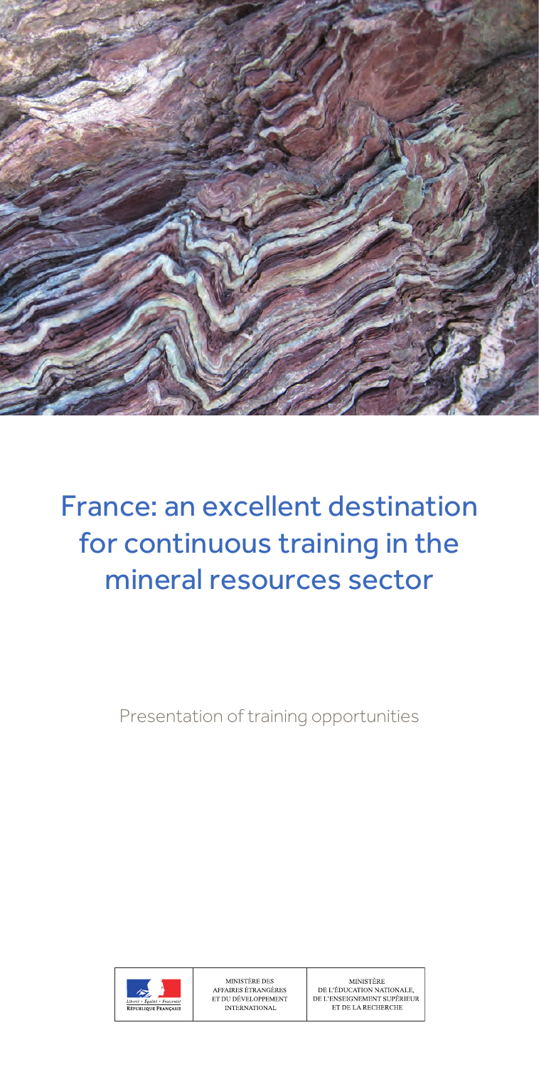

# France: an excellent destination for continuous training in the mineral resources sector

Presentation of training opportunities

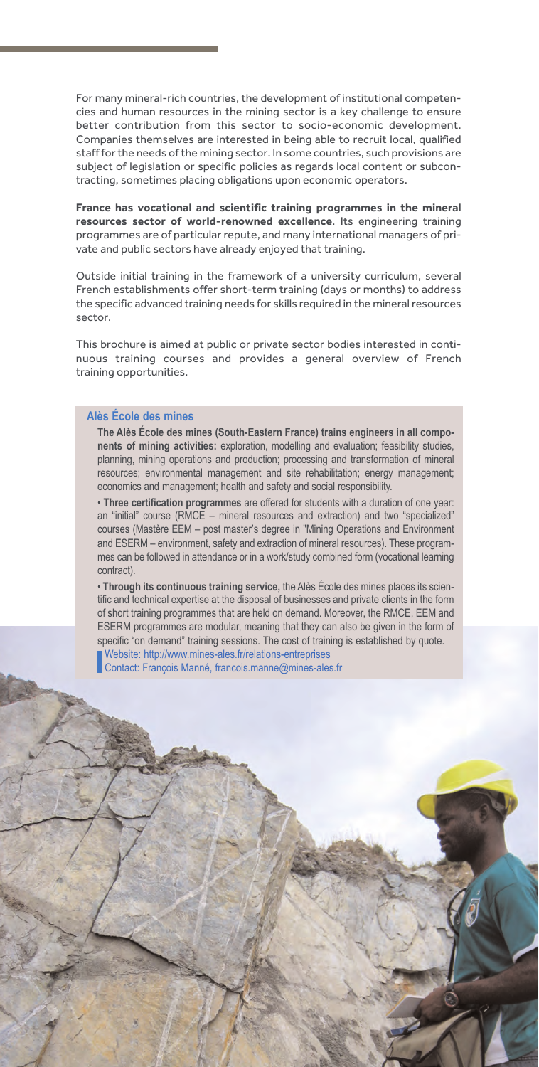For many mineral-rich countries, the development of institutional competencies and human resources in the mining sector is a key challenge to ensure better contribution from this sector to socio-economic development. Companies themselves are interested in being able to recruit local, qualified staff for the needs of the mining sector. In some countries, such provisions are subject of legislation or specific policies as regards local content or subcontracting, sometimes placing obligations upon economic operators.

**France has vocational and scientific training programmes in the mineral resources sector of world-renowned excellence**. Its engineering training programmes are of particular repute, and many international managers of private and public sectors have already enjoyed that training.

Outside initial training in the framework of a university curriculum, several French establishments offer short-term training (days or months) to address the specific advanced training needs for skills required in the mineral resources sector.

This brochure is aimed at public or private sector bodies interested in continuous training courses and provides a general overview of French training opportunities.

#### **Alès École des mines**

**The Alès École des mines (South-Eastern France) trains engineers in all components of mining activities:** exploration, modelling and evaluation; feasibility studies, planning, mining operations and production; processing and transformation of mineral resources; environmental management and site rehabilitation; energy management; economics and management; health and safety and social responsibility.

• **Three certification programmes** are offered for students with a duration of one year: an "initial" course (RMCE – mineral resources and extraction) and two "specialized" courses (Mastère EEM – post master's degree in "Mining Operations and Environment and ESERM – environment, safety and extraction of mineral resources). These programmes can be followed in attendance or in a work/study combined form (vocational learning contract).

• **Through its continuous training service,** the Alès École des mines places its scientific and technical expertise at the disposal of businesses and private clients in the form of short training programmes that are held on demand. Moreover, the RMCE, EEM and ESERM programmes are modular, meaning that they can also be given in the form of specific "on demand" training sessions. The cost of training is established by quote.

Website: http://www.mines-ales.fr/relations-entreprises Contact: François Manné, francois.manne@mines-ales.fr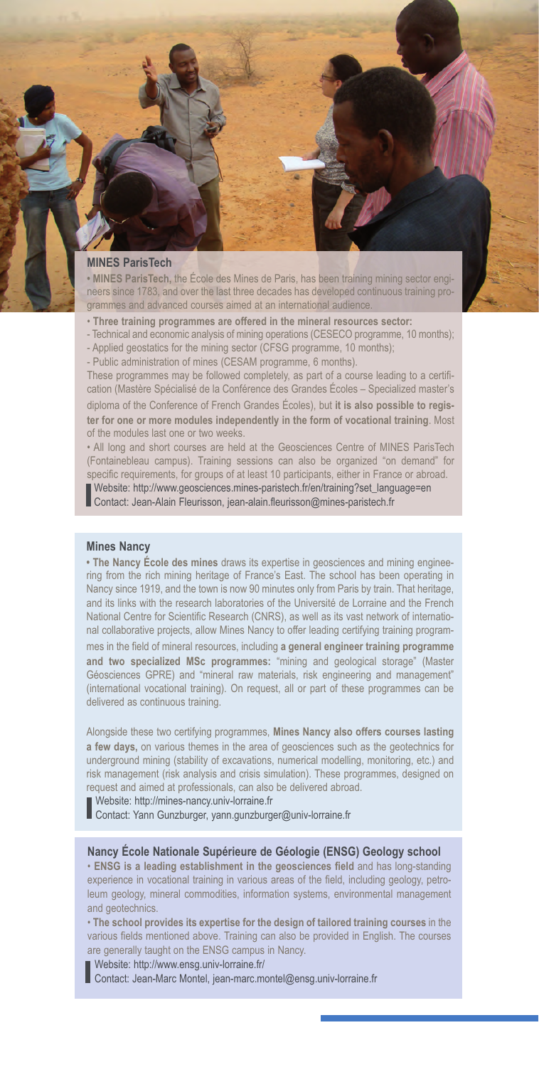#### **MINES ParisTech**

**• MINES ParisTech,** the École des Mines de Paris, has been training mining sector engineers since 1783, and over the last three decades has developed continuous training programmes and advanced courses aimed at an international audience.

- **Three training programmes are offered in the mineral resources sector:**
- Technical and economic analysis of mining operations (CESECO programme, 10 months);
- Applied geostatics for the mining sector (CFSG programme, 10 months);

- Public administration of mines (CESAM programme, 6 months).

These programmes may be followed completely, as part of a course leading to a certification (Mastère Spécialisé de la Conférence des Grandes Écoles – Specialized master's diploma of the Conference of French Grandes Écoles), but **it is also possible to register for one or more modules independently in the form of vocational training**. Most of the modules last one or two weeks.

• All long and short courses are held at the Geosciences Centre of MINES ParisTech (Fontainebleau campus). Training sessions can also be organized "on demand" for specific requirements, for groups of at least 10 participants, either in France or abroad. Website: http://www.geosciences.mines-paristech.fr/en/training?set\_language=en

Contact: Jean-Alain Fleurisson, jean-alain.fleurisson@mines-paristech.fr

### **Mines Nancy**

**• The Nancy École des mines** draws its expertise in geosciences and mining engineering from the rich mining heritage of France's East. The school has been operating in Nancy since 1919, and the town is now 90 minutes only from Paris by train. That heritage, and its links with the research laboratories of the Université de Lorraine and the French National Centre for Scientific Research (CNRS), as well as its vast network of international collaborative projects, allow Mines Nancy to offer leading certifying training programmes in the field of mineral resources, including **a general engineer training programme and two specialized MSc programmes:** "mining and geological storage" (Master Géosciences GPRE) and "mineral raw materials, risk engineering and management" (international vocational training). On request, all or part of these programmes can be delivered as continuous training.

Alongside these two certifying programmes, **Mines Nancy also offers courses lasting a few days,** on various themes in the area of geosciences such as the geotechnics for underground mining (stability of excavations, numerical modelling, monitoring, etc.) and risk management (risk analysis and crisis simulation). These programmes, designed on request and aimed at professionals, can also be delivered abroad.

Website: http://mines-nancy.univ-lorraine.fr

Contact: Yann Gunzburger, yann.gunzburger@univ-lorraine.fr

# **Nancy École Nationale Supérieure de Géologie (ENSG) Geology school**

• **ENSG is a leading establishment in the geosciences field** and has long-standing experience in vocational training in various areas of the field, including geology, petroleum geology, mineral commodities, information systems, environmental management and geotechnics.

• **The school provides its expertise for the design of tailored training courses** in the various fields mentioned above. Training can also be provided in English. The courses are generally taught on the ENSG campus in Nancy.

Website: http://www.ensg.univ-lorraine.fr/

Contact: Jean-Marc Montel, jean-marc.montel@ensg.univ-lorraine.fr